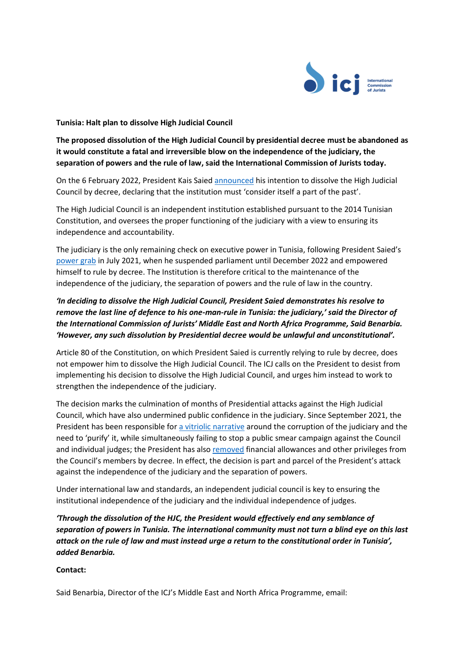

**Tunisia: Halt plan to dissolve High Judicial Council** 

**The proposed dissolution of the High Judicial Council by presidential decree must be abandoned as it would constitute a fatal and irreversible blow on the independence of the judiciary, the separation of powers and the rule of law, said the International Commission of Jurists today.** 

On the 6 February 2022, President Kais Saied [announced](https://www.facebook.com/Presidence.tn/videos/330334598837172) his intention to dissolve the High Judicial Council by decree, declaring that the institution must 'consider itself a part of the past'.

The High Judicial Council is an independent institution established pursuant to the 2014 Tunisian Constitution, and oversees the proper functioning of the judiciary with a view to ensuring its independence and accountability.

The judiciary is the only remaining check on executive power in Tunisia, following President Saied's [power grab](https://www.icj.org/tunisia-presidents-power-grab-is-an-assault-on-the-rule-of-law/) in July 2021, when he suspended parliament until December 2022 and empowered himself to rule by decree. The Institution is therefore critical to the maintenance of the independence of the judiciary, the separation of powers and the rule of law in the country.

## *'In deciding to dissolve the High Judicial Council, President Saied demonstrates his resolve to remove the last line of defence to his one-man-rule in Tunisia: the judiciary,' said the Director of the International Commission of Jurists' Middle East and North Africa Programme, Said Benarbia. 'However, any such dissolution by Presidential decree would be unlawful and unconstitutional'.*

Article 80 of the Constitution, on which President Saied is currently relying to rule by decree, does not empower him to dissolve the High Judicial Council. The ICJ calls on the President to desist from implementing his decision to dissolve the High Judicial Council, and urges him instead to work to strengthen the independence of the judiciary.

The decision marks the culmination of months of Presidential attacks against the High Judicial Council, which have also undermined public confidence in the judiciary. Since September 2021, the President has been responsible for a vitriolic [narrative](https://www.icj.org/tunisia-stop-attacks-on-the-judiciary/) around the corruption of the judiciary and the need to 'purify' it, while simultaneously failing to stop a public smear campaign against the Council and individual judges; the President has also [removed](https://www.aa.com.tr/fr/afrique/tunisie-ka%C3%AFs-sa%C3%AFed-met-fin-aux-primes-et-privil%C3%A8ges-accord%C3%A9s-aux-membres-du-conseil-sup%C3%A9rieur-de-la-magistrature/2480010) financial allowances and other privileges from the Council's members by decree. In effect, the decision is part and parcel of the President's attack against the independence of the judiciary and the separation of powers.

Under international law and standards, an independent judicial council is key to ensuring the institutional independence of the judiciary and the individual independence of judges.

*'Through the dissolution of the HJC, the President would effectively end any semblance of separation of powers in Tunisia. The international community must not turn a blind eye on this last attack on the rule of law and must instead urge a return to the constitutional order in Tunisia', added Benarbia.* 

## **Contact:**

Said Benarbia, Director of the ICJ's Middle East and North Africa Programme, email: